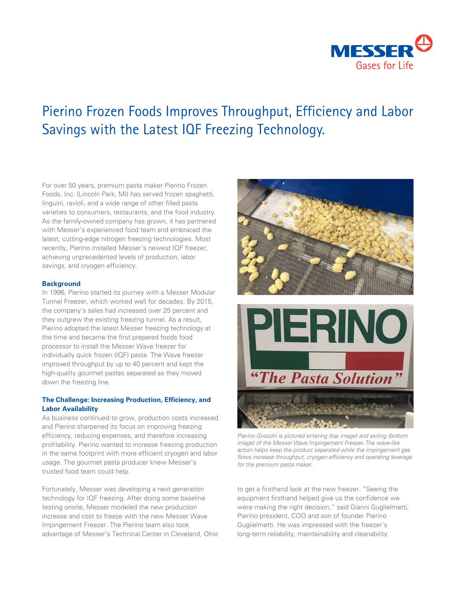

# Pierino Frozen Foods Improves Throughput, Efficiency and Labor Savings with the Latest IQF Freezing Technology.

For over 50 years, premium pasta maker Pierino Frozen Foods, Inc. (Lincoln Park, MI) has served frozen spaghetti, linguini, ravioli, and a wide range of other filled pasta varieties to consumers, restaurants, and the food industry. As the family-owned company has grown, it has partnered with Messer's experienced food team and embraced the latest, cutting-edge nitrogen freezing technologies. Most recently, Pierino installed Messer's newest IQF freezer, achieving unprecedented levels of production, labor savings, and cryogen efficiency.

#### **Background**

In 1996, Pierino started its journey with a Messer Modular Tunnel Freezer, which worked well for decades. By 2015, the company's sales had increased over 25 percent and they outgrew the existing freezing tunnel. As a result, Pierino adopted the latest Messer freezing technology at the time and became the first prepared foods food processor to install the Messer Wave freezer for individually quick frozen (IQF) pasta. The Wave freezer improved throughput by up to 40 percent and kept the high-quality gourmet pastas separated as they moved down the freezing line.

## **The Challenge: Increasing Production, Efficiency, and Labor Availability**

As business continued to grow, production costs increased and Pierino sharpened its focus on improving freezing efficiency, reducing expenses, and therefore increasing profitability. Pierino wanted to increase freezing production in the same footprint with more efficient cryogen and labor usage. The gourmet pasta producer knew Messer's trusted food team could help.

Fortunately, Messer was developing a next generation technology for IQF freezing. After doing some baseline testing onsite, Messer modeled the new production increase and cost to freeze with the new Messer Wave Impingement Freezer. The Pierino team also took advantage of Messer's Technical Center in Cleveland, Ohio





*Pierino Gnocchi is pictured entering (top image) and exiting (bottom image) of the Messer Wave Impingement Freezer. The wave-like action helps keep the product separated while the impingement gas flows increase throughput, cryogen efficiency and operating leverage for the premium pasta maker.*

to get a firsthand look at the new freezer. "Seeing the equipment firsthand helped give us the confidence we were making the right decision," said Gianni Guglielmetti, Pierino president, COO and son of founder Pierino Guglielmetti. He was impressed with the freezer's long-term reliability, maintainability and cleanability.